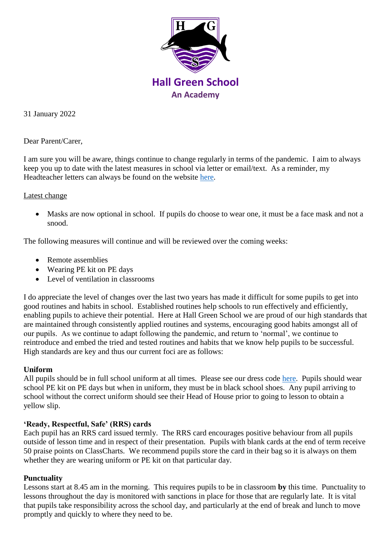

31 January 2022

Dear Parent/Carer,

I am sure you will be aware, things continue to change regularly in terms of the pandemic. I aim to always keep you up to date with the latest measures in school via letter or email/text. As a reminder, my Headteacher letters can always be found on the website [here.](https://www.hallgreen.bham.sch.uk/headteachers-letters/)

### Latest change

 Masks are now optional in school. If pupils do choose to wear one, it must be a face mask and not a snood.

The following measures will continue and will be reviewed over the coming weeks:

- Remote assemblies
- Wearing PE kit on PE days
- Level of ventilation in classrooms

I do appreciate the level of changes over the last two years has made it difficult for some pupils to get into good routines and habits in school. Established routines help schools to run effectively and efficiently, enabling pupils to achieve their potential. Here at Hall Green School we are proud of our high standards that are maintained through consistently applied routines and systems, encouraging good habits amongst all of our pupils. As we continue to adapt following the pandemic, and return to 'normal', we continue to reintroduce and embed the tried and tested routines and habits that we know help pupils to be successful. High standards are key and thus our current foci are as follows:

## **Uniform**

All pupils should be in full school uniform at all times. Please see our dress code [here.](https://www.hallgreen.bham.sch.uk/uniform/) Pupils should wear school PE kit on PE days but when in uniform, they must be in black school shoes. Any pupil arriving to school without the correct uniform should see their Head of House prior to going to lesson to obtain a yellow slip.

## **'Ready, Respectful, Safe' (RRS) cards**

Each pupil has an RRS card issued termly. The RRS card encourages positive behaviour from all pupils outside of lesson time and in respect of their presentation. Pupils with blank cards at the end of term receive 50 praise points on ClassCharts. We recommend pupils store the card in their bag so it is always on them whether they are wearing uniform or PE kit on that particular day.

## **Punctuality**

Lessons start at 8.45 am in the morning. This requires pupils to be in classroom **by** this time. Punctuality to lessons throughout the day is monitored with sanctions in place for those that are regularly late. It is vital that pupils take responsibility across the school day, and particularly at the end of break and lunch to move promptly and quickly to where they need to be.